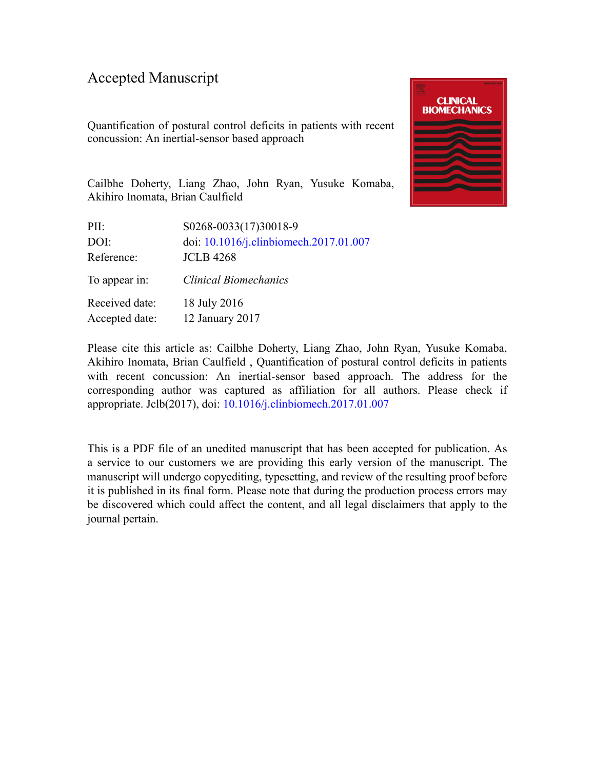### Accepted Manuscript

Quantification of postural control deficits in patients with recent concussion: An inertial-sensor based approach



Cailbhe Doherty, Liang Zhao, John Ryan, Yusuke Komaba, Akihiro Inomata, Brian Caulfield

| PII:                             | S0268-0033(17)30018-9                  |
|----------------------------------|----------------------------------------|
| DOI:                             | doi: 10.1016/j.clinbiomech.2017.01.007 |
| Reference:                       | <b>JCLB 4268</b>                       |
| To appear in:                    | <b>Clinical Biomechanics</b>           |
| Received date:<br>Accepted date: | 18 July 2016<br>12 January 2017        |
|                                  |                                        |

Please cite this article as: Cailbhe Doherty, Liang Zhao, John Ryan, Yusuke Komaba, Akihiro Inomata, Brian Caulfield , Quantification of postural control deficits in patients with recent concussion: An inertial-sensor based approach. The address for the corresponding author was captured as affiliation for all authors. Please check if appropriate. Jclb(2017), doi: [10.1016/j.clinbiomech.2017.01.007](http://dx.doi.org/10.1016/j.clinbiomech.2017.01.007)

This is a PDF file of an unedited manuscript that has been accepted for publication. As a service to our customers we are providing this early version of the manuscript. The manuscript will undergo copyediting, typesetting, and review of the resulting proof before it is published in its final form. Please note that during the production process errors may be discovered which could affect the content, and all legal disclaimers that apply to the journal pertain.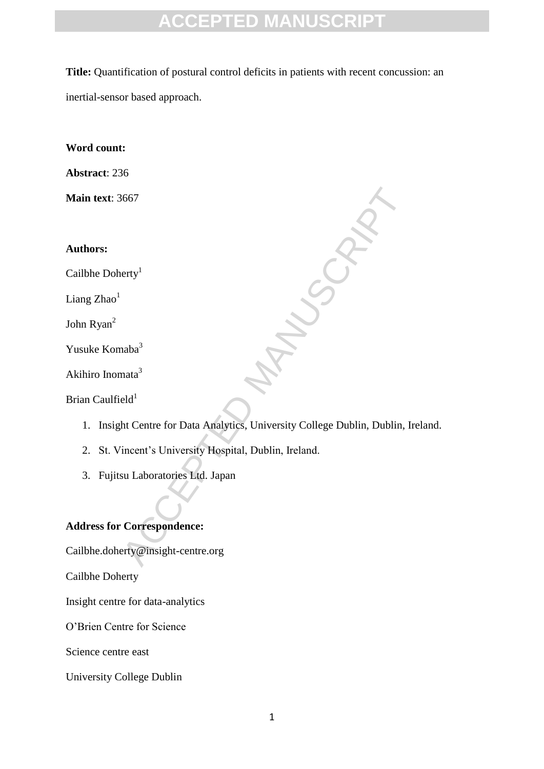**Title:** Quantification of postural control deficits in patients with recent concussion: an inertial-sensor based approach.

**Word count:** 

**Abstract**: 236

**Main text**: 3667

**Authors:**

Cailbhe Doherty<sup>1</sup>

Liang  $Zhao<sup>1</sup>$ 

John Ryan<sup>2</sup>

Yusuke Komaba<sup>3</sup>

Akihiro Inomata<sup>3</sup>

Brian Caulfield $1$ 

1. Insight Centre for Data Analytics, University College Dublin, Dublin, Ireland.

ACCEPTED MANUSCRIPT

2. St. Vincent's University Hospital, Dublin, Ireland.

3. Fujitsu Laboratories Ltd. Japan

#### **Address for Correspondence:**

Cailbhe.doherty@insight-centre.org

Cailbhe Doherty

Insight centre for data-analytics

O'Brien Centre for Science

Science centre east

University College Dublin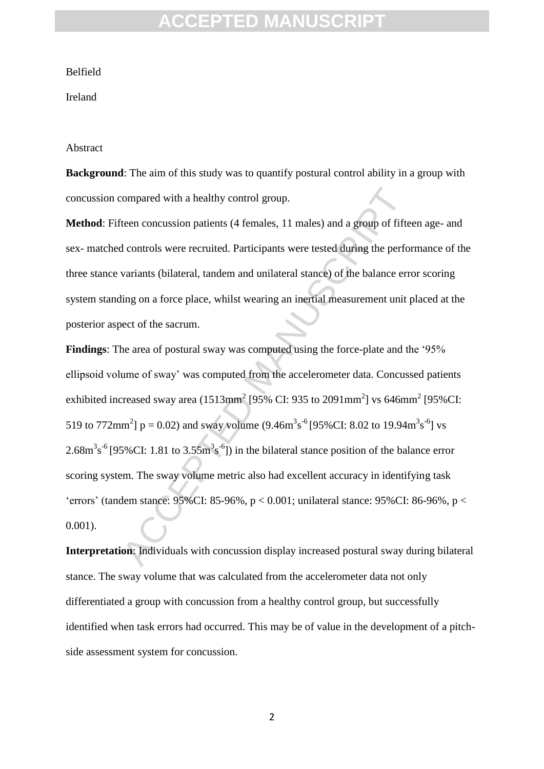#### Belfield

#### Ireland

#### Abstract

**Background**: The aim of this study was to quantify postural control ability in a group with concussion compared with a healthy control group.

**Method**: Fifteen concussion patients (4 females, 11 males) and a group of fifteen age- and sex- matched controls were recruited. Participants were tested during the performance of the three stance variants (bilateral, tandem and unilateral stance) of the balance error scoring system standing on a force place, whilst wearing an inertial measurement unit placed at the posterior aspect of the sacrum.

compared with a healthy control group.<br>
teen concussion patients (4 females, 11 males) and a group of fifte<br>
d controls were recruited. Participants were tested during the performants (bilateral, tandem and unilateral sta **Findings**: The area of postural sway was computed using the force-plate and the '95% ellipsoid volume of sway' was computed from the accelerometer data. Concussed patients exhibited increased sway area  $(1513$ mm<sup>2</sup> [95% CI: 935 to 2091mm<sup>2</sup>] vs 646mm<sup>2</sup> [95% CI: 519 to 772mm<sup>2</sup>]  $p = 0.02$ ) and sway volume  $(9.46m<sup>3</sup>s<sup>-6</sup> [95\% CI: 8.02$  to 19.94m<sup>3</sup>s<sup>-6</sup>] vs  $2.68 \text{m}^3 \text{s}^{-6}$  [95%CI: 1.81 to 3.55 $\text{m}^3 \text{s}^{-6}$ ]) in the bilateral stance position of the balance error scoring system. The sway volume metric also had excellent accuracy in identifying task 'errors' (tandem stance: 95%CI: 85-96%, p < 0.001; unilateral stance: 95%CI: 86-96%, p < 0.001).

**Interpretation**: Individuals with concussion display increased postural sway during bilateral stance. The sway volume that was calculated from the accelerometer data not only differentiated a group with concussion from a healthy control group, but successfully identified when task errors had occurred. This may be of value in the development of a pitchside assessment system for concussion.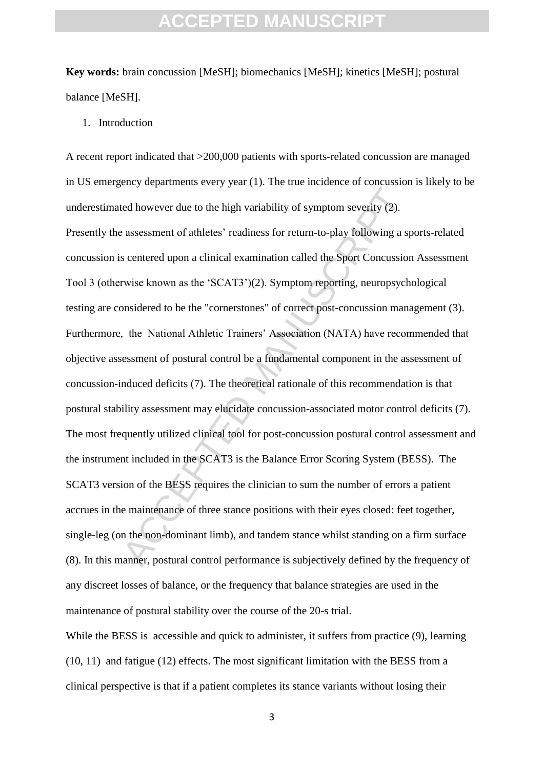**Key words:** brain concussion [MeSH]; biomechanics [MeSH]; kinetics [MeSH]; postural balance [MeSH].

1. Introduction

A recent report indicated that >200,000 patients with sports-related concussion are managed in US emergency departments every year (1). The true incidence of concussion is likely to be underestimated however due to the high variability of symptom severity (2).

Example 10 and the tell standing of symptom severity (2).<br>
Exassessment of athletes' readiness for return-to-play following a spacement of athletes' readiness for return-to-play following a spacement of athletical examinat Presently the assessment of athletes' readiness for return-to-play following a sports-related concussion is centered upon a clinical examination called the Sport Concussion Assessment Tool 3 (otherwise known as the 'SCAT3')(2). Symptom reporting, neuropsychological testing are considered to be the "cornerstones" of correct post-concussion management (3). Furthermore, the National Athletic Trainers' Association (NATA) have recommended that objective assessment of postural control be a fundamental component in the assessment of concussion-induced deficits (7). The theoretical rationale of this recommendation is that postural stability assessment may elucidate concussion-associated motor control deficits (7). The most frequently utilized clinical tool for post-concussion postural control assessment and the instrument included in the SCAT3 is the Balance Error Scoring System (BESS). The SCAT3 version of the BESS requires the clinician to sum the number of errors a patient accrues in the maintenance of three stance positions with their eyes closed: feet together, single-leg (on the non-dominant limb), and tandem stance whilst standing on a firm surface (8). In this manner, postural control performance is subjectively defined by the frequency of any discreet losses of balance, or the frequency that balance strategies are used in the maintenance of postural stability over the course of the 20-s trial.

While the BESS is accessible and quick to administer, it suffers from practice (9), learning (10, 11) and fatigue (12) effects. The most significant limitation with the BESS from a clinical perspective is that if a patient completes its stance variants without losing their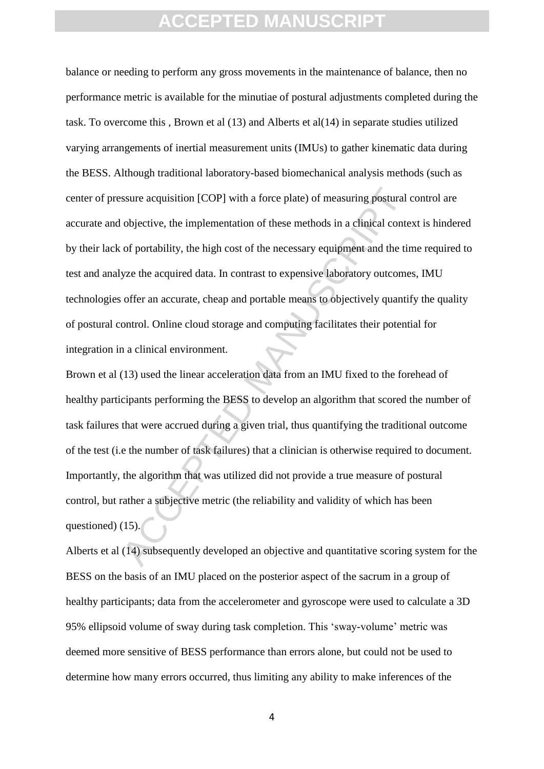ssure acquisition [COP] with a force plate) of measuring postural objective, the implementation of these methods in a clinical conte of portability, the high cost of the necessary equipment and the tin yze the acquired dat balance or needing to perform any gross movements in the maintenance of balance, then no performance metric is available for the minutiae of postural adjustments completed during the task. To overcome this , Brown et al (13) and Alberts et al(14) in separate studies utilized varying arrangements of inertial measurement units (IMUs) to gather kinematic data during the BESS. Although traditional laboratory-based biomechanical analysis methods (such as center of pressure acquisition [COP] with a force plate) of measuring postural control are accurate and objective, the implementation of these methods in a clinical context is hindered by their lack of portability, the high cost of the necessary equipment and the time required to test and analyze the acquired data. In contrast to expensive laboratory outcomes, IMU technologies offer an accurate, cheap and portable means to objectively quantify the quality of postural control. Online cloud storage and computing facilitates their potential for integration in a clinical environment.

Brown et al (13) used the linear acceleration data from an IMU fixed to the forehead of healthy participants performing the BESS to develop an algorithm that scored the number of task failures that were accrued during a given trial, thus quantifying the traditional outcome of the test (i.e the number of task failures) that a clinician is otherwise required to document. Importantly, the algorithm that was utilized did not provide a true measure of postural control, but rather a subjective metric (the reliability and validity of which has been questioned) (15).

Alberts et al (14) subsequently developed an objective and quantitative scoring system for the BESS on the basis of an IMU placed on the posterior aspect of the sacrum in a group of healthy participants; data from the accelerometer and gyroscope were used to calculate a 3D 95% ellipsoid volume of sway during task completion. This 'sway-volume' metric was deemed more sensitive of BESS performance than errors alone, but could not be used to determine how many errors occurred, thus limiting any ability to make inferences of the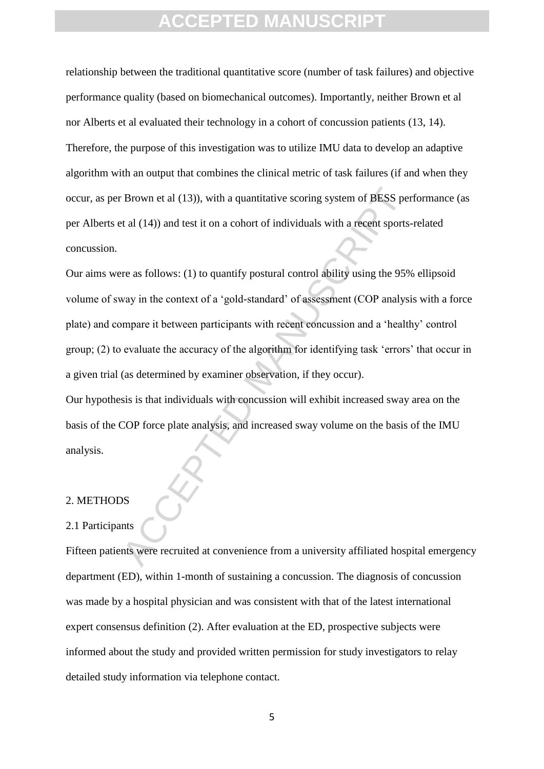relationship between the traditional quantitative score (number of task failures) and objective performance quality (based on biomechanical outcomes). Importantly, neither Brown et al nor Alberts et al evaluated their technology in a cohort of concussion patients (13, 14). Therefore, the purpose of this investigation was to utilize IMU data to develop an adaptive algorithm with an output that combines the clinical metric of task failures (if and when they occur, as per Brown et al (13)), with a quantitative scoring system of BESS performance (as per Alberts et al (14)) and test it on a cohort of individuals with a recent sports-related concussion.

Brown et al (13)), with a quantitative scoring system of BESS per<br>
at al (14)) and test it on a cohort of individuals with a recent sports<br>
are as follows: (1) to quantify postural control ability using the 95%<br>
are as fol Our aims were as follows: (1) to quantify postural control ability using the 95% ellipsoid volume of sway in the context of a 'gold-standard' of assessment (COP analysis with a force plate) and compare it between participants with recent concussion and a 'healthy' control group; (2) to evaluate the accuracy of the algorithm for identifying task 'errors' that occur in a given trial (as determined by examiner observation, if they occur).

Our hypothesis is that individuals with concussion will exhibit increased sway area on the basis of the COP force plate analysis, and increased sway volume on the basis of the IMU analysis.

#### 2. METHODS

#### 2.1 Participants

Fifteen patients were recruited at convenience from a university affiliated hospital emergency department (ED), within 1-month of sustaining a concussion. The diagnosis of concussion was made by a hospital physician and was consistent with that of the latest international expert consensus definition (2). After evaluation at the ED, prospective subjects were informed about the study and provided written permission for study investigators to relay detailed study information via telephone contact.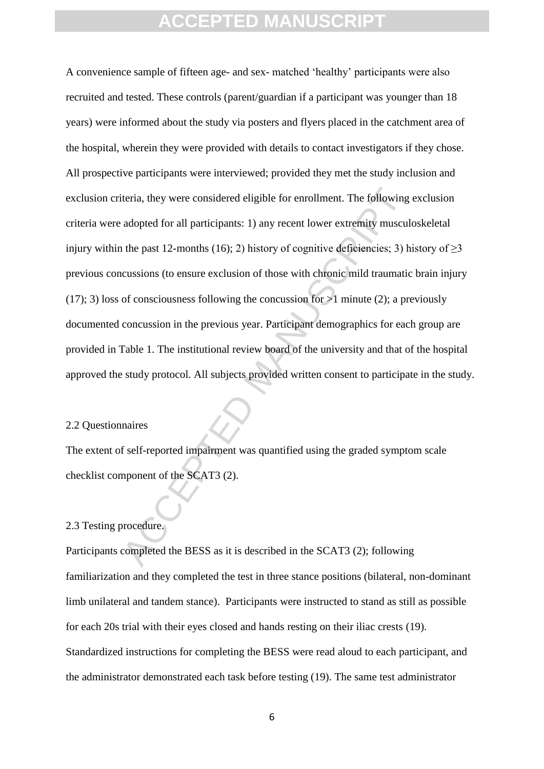iteria, they were considered eligible for enrollment. The following<br>adopted for all participants: 1) any recent lower extremity muscul<br>the past 12-months (16): 2) history of cognitive deficiencies; 3) h<br>cussions (to ensure A convenience sample of fifteen age- and sex- matched 'healthy' participants were also recruited and tested. These controls (parent/guardian if a participant was younger than 18 years) were informed about the study via posters and flyers placed in the catchment area of the hospital, wherein they were provided with details to contact investigators if they chose. All prospective participants were interviewed; provided they met the study inclusion and exclusion criteria, they were considered eligible for enrollment. The following exclusion criteria were adopted for all participants: 1) any recent lower extremity musculoskeletal injury within the past 12-months (16); 2) history of cognitive deficiencies; 3) history of  $\geq$ 3 previous concussions (to ensure exclusion of those with chronic mild traumatic brain injury (17); 3) loss of consciousness following the concussion for  $>1$  minute (2); a previously documented concussion in the previous year. Participant demographics for each group are provided in Table 1. The institutional review board of the university and that of the hospital approved the study protocol. All subjects provided written consent to participate in the study.

#### 2.2 Questionnaires

The extent of self-reported impairment was quantified using the graded symptom scale checklist component of the SCAT3 (2).

#### 2.3 Testing procedure.

Participants completed the BESS as it is described in the SCAT3 (2); following familiarization and they completed the test in three stance positions (bilateral, non-dominant limb unilateral and tandem stance). Participants were instructed to stand as still as possible for each 20s trial with their eyes closed and hands resting on their iliac crests (19). Standardized instructions for completing the BESS were read aloud to each participant, and the administrator demonstrated each task before testing (19). The same test administrator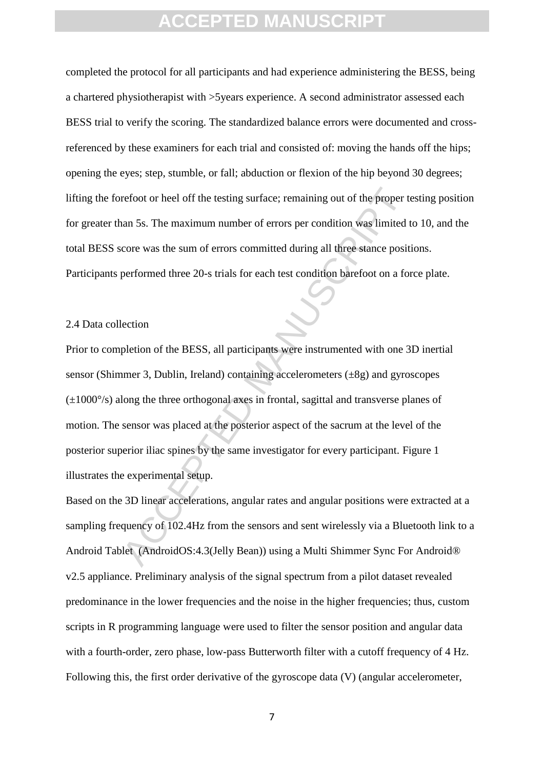completed the protocol for all participants and had experience administering the BESS, being a chartered physiotherapist with >5years experience. A second administrator assessed each BESS trial to verify the scoring. The standardized balance errors were documented and crossreferenced by these examiners for each trial and consisted of: moving the hands off the hips; opening the eyes; step, stumble, or fall; abduction or flexion of the hip beyond 30 degrees; lifting the forefoot or heel off the testing surface; remaining out of the proper testing position for greater than 5s. The maximum number of errors per condition was limited to 10, and the total BESS score was the sum of errors committed during all three stance positions. Participants performed three 20-s trials for each test condition barefoot on a force plate.

#### 2.4 Data collection

refoot or heel off the testing surface; remaining out of the proper trans 5s. The maximum number of errors per condition was limited to<br>core was the sum of errors committed during all three stance posit<br>performed three 20-Prior to completion of the BESS, all participants were instrumented with one 3D inertial sensor (Shimmer 3, Dublin, Ireland) containing accelerometers  $(\pm 8g)$  and gyroscopes  $(\pm 1000^{\circ}/s)$  along the three orthogonal axes in frontal, sagittal and transverse planes of motion. The sensor was placed at the posterior aspect of the sacrum at the level of the posterior superior iliac spines by the same investigator for every participant. Figure 1 illustrates the experimental setup.

Based on the 3D linear accelerations, angular rates and angular positions were extracted at a sampling frequency of 102.4Hz from the sensors and sent wirelessly via a Bluetooth link to a Android Tablet (AndroidOS:4.3(Jelly Bean)) using a Multi Shimmer Sync For Android® v2.5 appliance. Preliminary analysis of the signal spectrum from a pilot dataset revealed predominance in the lower frequencies and the noise in the higher frequencies; thus, custom scripts in R programming language were used to filter the sensor position and angular data with a fourth-order, zero phase, low-pass Butterworth filter with a cutoff frequency of 4 Hz. Following this, the first order derivative of the gyroscope data (V) (angular accelerometer,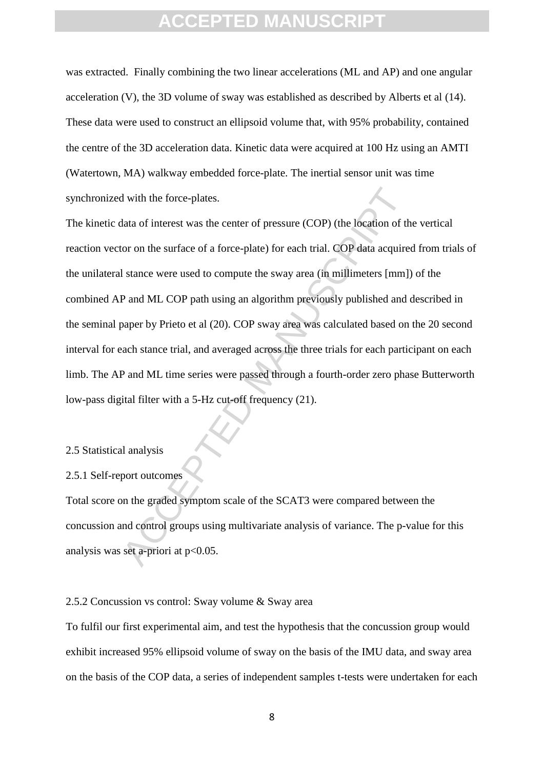was extracted. Finally combining the two linear accelerations (ML and AP) and one angular acceleration (V), the 3D volume of sway was established as described by Alberts et al (14). These data were used to construct an ellipsoid volume that, with 95% probability, contained the centre of the 3D acceleration data. Kinetic data were acquired at 100 Hz using an AMTI (Watertown, MA) walkway embedded force-plate. The inertial sensor unit was time synchronized with the force-plates.

d with the force-plates.<br>
Hata of interest was the center of pressure (COP) (the location of the location of the location of the surface of a force-plate) for each trial. COP data acquire<br>
I stance were used to compute the The kinetic data of interest was the center of pressure (COP) (the location of the vertical reaction vector on the surface of a force-plate) for each trial. COP data acquired from trials of the unilateral stance were used to compute the sway area (in millimeters [mm]) of the combined AP and ML COP path using an algorithm previously published and described in the seminal paper by Prieto et al (20). COP sway area was calculated based on the 20 second interval for each stance trial, and averaged across the three trials for each participant on each limb. The AP and ML time series were passed through a fourth-order zero phase Butterworth low-pass digital filter with a 5-Hz cut-off frequency (21).

#### 2.5 Statistical analysis

#### 2.5.1 Self-report outcomes

Total score on the graded symptom scale of the SCAT3 were compared between the concussion and control groups using multivariate analysis of variance. The p-value for this analysis was set a-priori at  $p<0.05$ .

#### 2.5.2 Concussion vs control: Sway volume & Sway area

To fulfil our first experimental aim, and test the hypothesis that the concussion group would exhibit increased 95% ellipsoid volume of sway on the basis of the IMU data, and sway area on the basis of the COP data, a series of independent samples t-tests were undertaken for each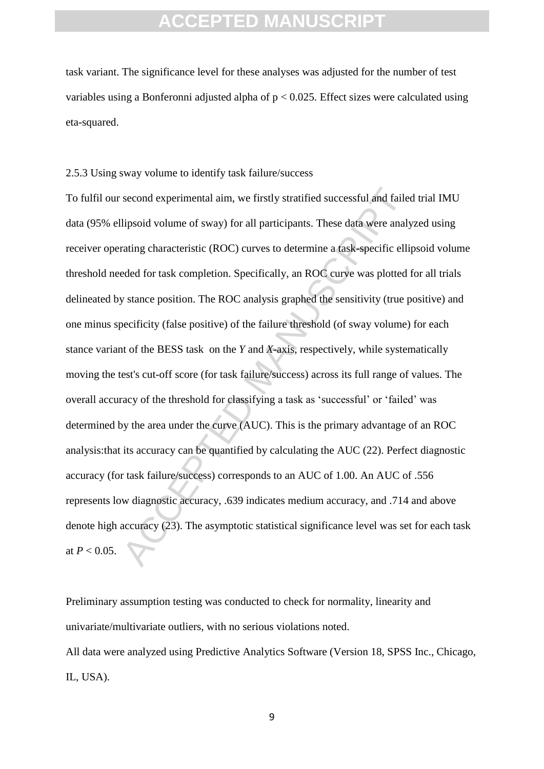task variant. The significance level for these analyses was adjusted for the number of test variables using a Bonferonni adjusted alpha of  $p < 0.025$ . Effect sizes were calculated using eta-squared.

2.5.3 Using sway volume to identify task failure/success

second experimental aim, we firstly stratified successful and faile<br>lipsoid volume of sway) for all participants. These data were analy<br>lipsoid volume of sway) for all participants. These data were analy<br>rating characteris To fulfil our second experimental aim, we firstly stratified successful and failed trial IMU data (95% ellipsoid volume of sway) for all participants. These data were analyzed using receiver operating characteristic (ROC) curves to determine a task-specific ellipsoid volume threshold needed for task completion. Specifically, an ROC curve was plotted for all trials delineated by stance position. The ROC analysis graphed the sensitivity (true positive) and one minus specificity (false positive) of the failure threshold (of sway volume) for each stance variant of the BESS task on the *Y* and *X*-axis, respectively, while systematically moving the test's cut-off score (for task failure/success) across its full range of values. The overall accuracy of the threshold for classifying a task as 'successful' or 'failed' was determined by the area under the curve (AUC). This is the primary advantage of an ROC analysis:that its accuracy can be quantified by calculating the AUC (22). Perfect diagnostic accuracy (for task failure/success) corresponds to an AUC of 1.00. An AUC of .556 represents low diagnostic accuracy, .639 indicates medium accuracy, and .714 and above denote high accuracy (23). The asymptotic statistical significance level was set for each task at  $P < 0.05$ .

Preliminary assumption testing was conducted to check for normality, linearity and univariate/multivariate outliers, with no serious violations noted. All data were analyzed using Predictive Analytics Software (Version 18, SPSS Inc., Chicago, IL, USA).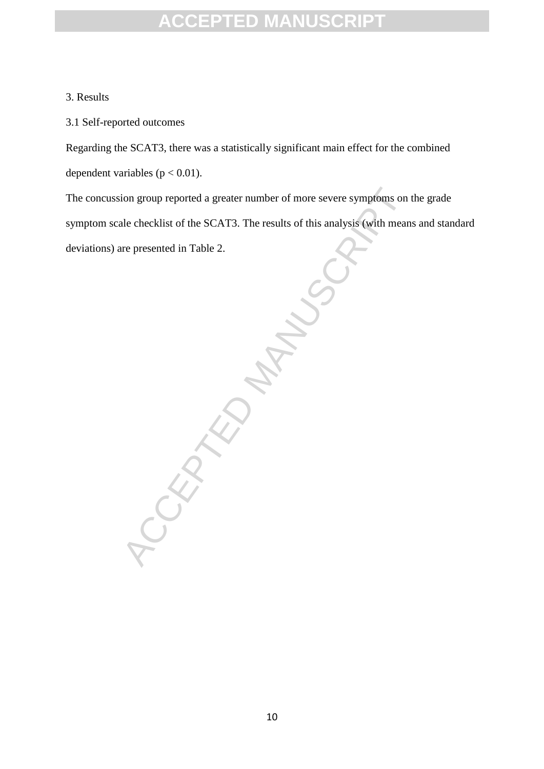#### 3. Results

3.1 Self-reported outcomes

Regarding the SCAT3, there was a statistically significant main effect for the combined dependent variables ( $p < 0.01$ ).

The concussion group reported a greater number of more severe symptoms on the grade symptom scale checklist of the SCAT3. The results of this analysis (with means and standard deviations) are presented in Table 2.

CCEPTED MANUSCRIPT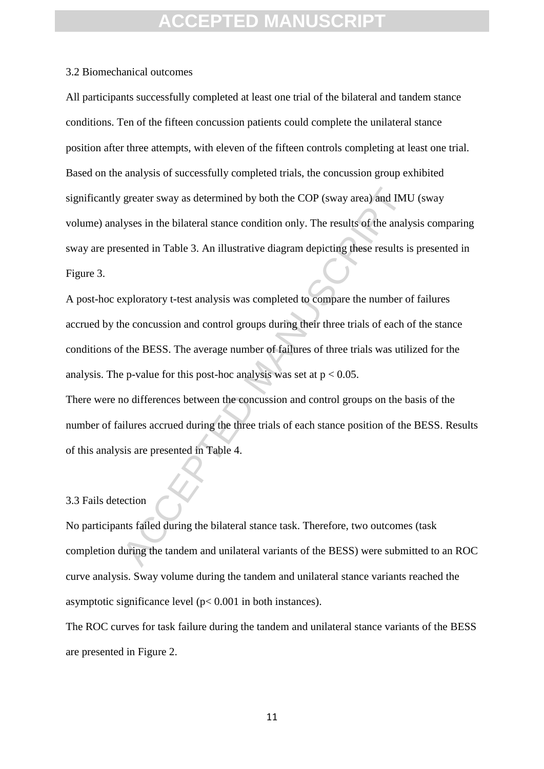#### 3.2 Biomechanical outcomes

greater sway as determined by both the COP (sway area) and IM<br>lyses in the bilateral stance condition only. The results of the analy<br>sented in Table 3. An illustrative diagram depicting these results is<br>xploratory t-test All participants successfully completed at least one trial of the bilateral and tandem stance conditions. Ten of the fifteen concussion patients could complete the unilateral stance position after three attempts, with eleven of the fifteen controls completing at least one trial. Based on the analysis of successfully completed trials, the concussion group exhibited significantly greater sway as determined by both the COP (sway area) and IMU (sway volume) analyses in the bilateral stance condition only. The results of the analysis comparing sway are presented in Table 3. An illustrative diagram depicting these results is presented in Figure 3.

A post-hoc exploratory t-test analysis was completed to compare the number of failures accrued by the concussion and control groups during their three trials of each of the stance conditions of the BESS. The average number of failures of three trials was utilized for the analysis. The p-value for this post-hoc analysis was set at  $p < 0.05$ .

There were no differences between the concussion and control groups on the basis of the number of failures accrued during the three trials of each stance position of the BESS. Results of this analysis are presented in Table 4.

#### 3.3 Fails detection

No participants failed during the bilateral stance task. Therefore, two outcomes (task completion during the tandem and unilateral variants of the BESS) were submitted to an ROC curve analysis. Sway volume during the tandem and unilateral stance variants reached the asymptotic significance level (p< 0.001 in both instances).

The ROC curves for task failure during the tandem and unilateral stance variants of the BESS are presented in Figure 2.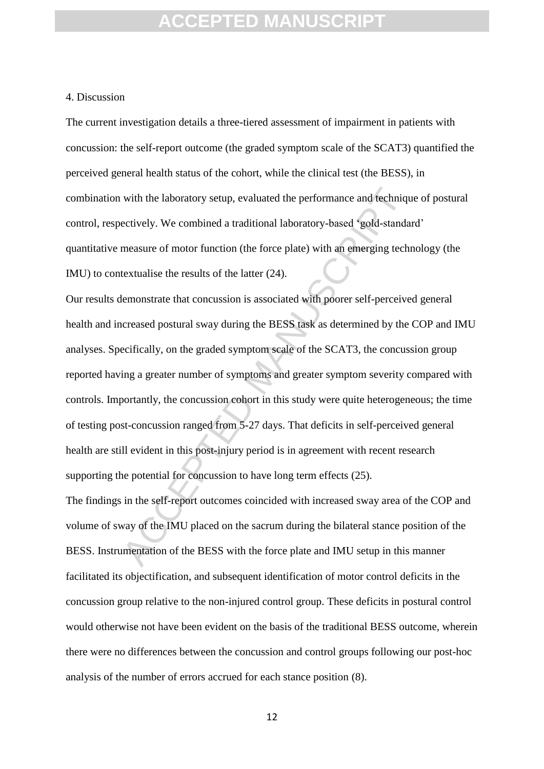#### 4. Discussion

The current investigation details a three-tiered assessment of impairment in patients with concussion: the self-report outcome (the graded symptom scale of the SCAT3) quantified the perceived general health status of the cohort, while the clinical test (the BESS), in combination with the laboratory setup, evaluated the performance and technique of postural control, respectively. We combined a traditional laboratory-based 'gold-standard' quantitative measure of motor function (the force plate) with an emerging technology (the IMU) to contextualise the results of the latter (24).

with the laboratory setup, evaluated the performance and technique ettively. We combined a traditional laboratory-based 'gold-standa measure of motor function (the force plate) with an emerging tech textualise the results Our results demonstrate that concussion is associated with poorer self-perceived general health and increased postural sway during the BESS task as determined by the COP and IMU analyses. Specifically, on the graded symptom scale of the SCAT3, the concussion group reported having a greater number of symptoms and greater symptom severity compared with controls. Importantly, the concussion cohort in this study were quite heterogeneous; the time of testing post-concussion ranged from 5-27 days. That deficits in self-perceived general health are still evident in this post-injury period is in agreement with recent research supporting the potential for concussion to have long term effects (25).

The findings in the self-report outcomes coincided with increased sway area of the COP and volume of sway of the IMU placed on the sacrum during the bilateral stance position of the BESS. Instrumentation of the BESS with the force plate and IMU setup in this manner facilitated its objectification, and subsequent identification of motor control deficits in the concussion group relative to the non-injured control group. These deficits in postural control would otherwise not have been evident on the basis of the traditional BESS outcome, wherein there were no differences between the concussion and control groups following our post-hoc analysis of the number of errors accrued for each stance position (8).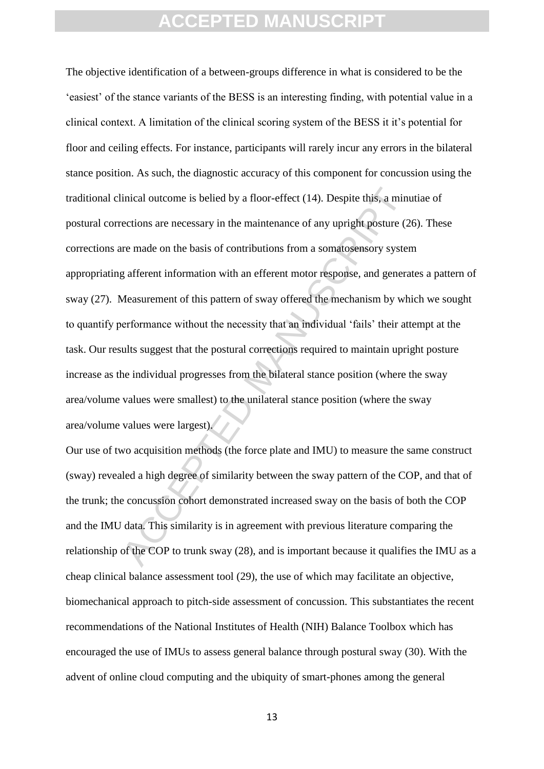inical outcome is belied by a floor-effect (14). Despite this, a minimetions are necessary in the maintenance of any upright posture (2 re made on the basis of contributions from a somatosensory system afferent information The objective identification of a between-groups difference in what is considered to be the 'easiest' of the stance variants of the BESS is an interesting finding, with potential value in a clinical context. A limitation of the clinical scoring system of the BESS it it's potential for floor and ceiling effects. For instance, participants will rarely incur any errors in the bilateral stance position. As such, the diagnostic accuracy of this component for concussion using the traditional clinical outcome is belied by a floor-effect (14). Despite this, a minutiae of postural corrections are necessary in the maintenance of any upright posture (26). These corrections are made on the basis of contributions from a somatosensory system appropriating afferent information with an efferent motor response, and generates a pattern of sway (27). Measurement of this pattern of sway offered the mechanism by which we sought to quantify performance without the necessity that an individual 'fails' their attempt at the task. Our results suggest that the postural corrections required to maintain upright posture increase as the individual progresses from the bilateral stance position (where the sway area/volume values were smallest) to the unilateral stance position (where the sway area/volume values were largest).

Our use of two acquisition methods (the force plate and IMU) to measure the same construct (sway) revealed a high degree of similarity between the sway pattern of the COP, and that of the trunk; the concussion cohort demonstrated increased sway on the basis of both the COP and the IMU data. This similarity is in agreement with previous literature comparing the relationship of the COP to trunk sway (28), and is important because it qualifies the IMU as a cheap clinical balance assessment tool (29), the use of which may facilitate an objective, biomechanical approach to pitch-side assessment of concussion. This substantiates the recent recommendations of the National Institutes of Health (NIH) Balance Toolbox which has encouraged the use of IMUs to assess general balance through postural sway (30). With the advent of online cloud computing and the ubiquity of smart-phones among the general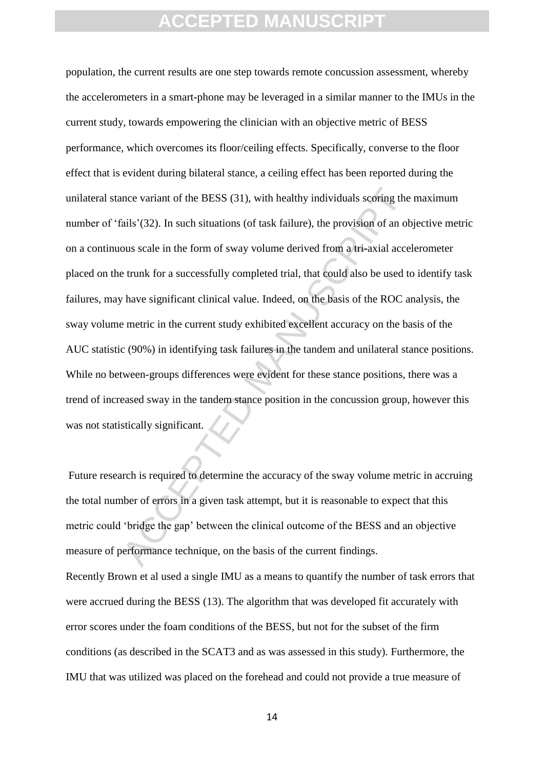mee variant of the BESS (31), with healthy individuals scoring the<br>ails'(32). In such situations (of task failure), the provision of an ob<br>ous scale in the form of sway volume derived from a tri-axial acce<br>trunk for a succ population, the current results are one step towards remote concussion assessment, whereby the accelerometers in a smart-phone may be leveraged in a similar manner to the IMUs in the current study, towards empowering the clinician with an objective metric of BESS performance, which overcomes its floor/ceiling effects. Specifically, converse to the floor effect that is evident during bilateral stance, a ceiling effect has been reported during the unilateral stance variant of the BESS (31), with healthy individuals scoring the maximum number of 'fails'(32). In such situations (of task failure), the provision of an objective metric on a continuous scale in the form of sway volume derived from a tri-axial accelerometer placed on the trunk for a successfully completed trial, that could also be used to identify task failures, may have significant clinical value. Indeed, on the basis of the ROC analysis, the sway volume metric in the current study exhibited excellent accuracy on the basis of the AUC statistic (90%) in identifying task failures in the tandem and unilateral stance positions. While no between-groups differences were evident for these stance positions, there was a trend of increased sway in the tandem stance position in the concussion group, however this was not statistically significant.

Future research is required to determine the accuracy of the sway volume metric in accruing the total number of errors in a given task attempt, but it is reasonable to expect that this metric could 'bridge the gap' between the clinical outcome of the BESS and an objective measure of performance technique, on the basis of the current findings.

Recently Brown et al used a single IMU as a means to quantify the number of task errors that were accrued during the BESS (13). The algorithm that was developed fit accurately with error scores under the foam conditions of the BESS, but not for the subset of the firm conditions (as described in the SCAT3 and as was assessed in this study). Furthermore, the IMU that was utilized was placed on the forehead and could not provide a true measure of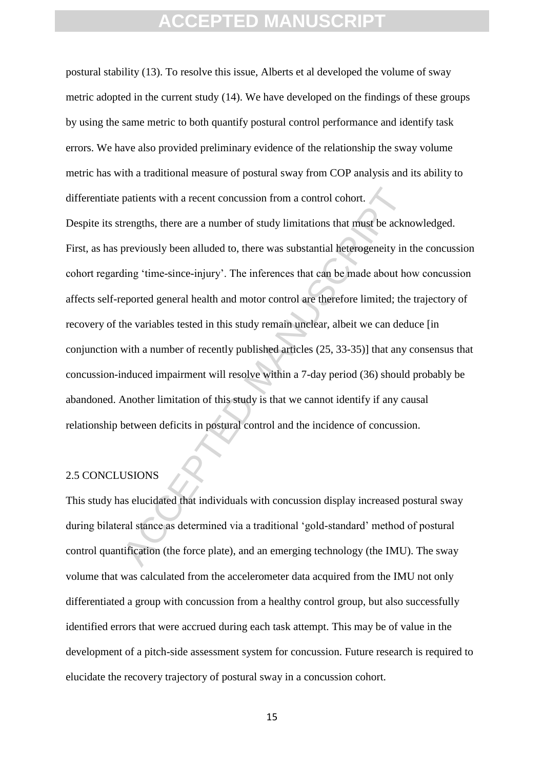postural stability (13). To resolve this issue, Alberts et al developed the volume of sway metric adopted in the current study (14). We have developed on the findings of these groups by using the same metric to both quantify postural control performance and identify task errors. We have also provided preliminary evidence of the relationship the sway volume metric has with a traditional measure of postural sway from COP analysis and its ability to differentiate patients with a recent concussion from a control cohort.

patients with a recent concussion from a control cohort.<br>
Accent tengths, there are a number of study limitations that must be ackno<br>
previously been alluded to, there was substantial heterogeneity in<br>
ding 'time-since-inj Despite its strengths, there are a number of study limitations that must be acknowledged. First, as has previously been alluded to, there was substantial heterogeneity in the concussion cohort regarding 'time-since-injury'. The inferences that can be made about how concussion affects self-reported general health and motor control are therefore limited; the trajectory of recovery of the variables tested in this study remain unclear, albeit we can deduce [in conjunction with a number of recently published articles (25, 33-35)] that any consensus that concussion-induced impairment will resolve within a 7-day period (36) should probably be abandoned. Another limitation of this study is that we cannot identify if any causal relationship between deficits in postural control and the incidence of concussion.

#### 2.5 CONCLUSIONS

This study has elucidated that individuals with concussion display increased postural sway during bilateral stance as determined via a traditional 'gold-standard' method of postural control quantification (the force plate), and an emerging technology (the IMU). The sway volume that was calculated from the accelerometer data acquired from the IMU not only differentiated a group with concussion from a healthy control group, but also successfully identified errors that were accrued during each task attempt. This may be of value in the development of a pitch-side assessment system for concussion. Future research is required to elucidate the recovery trajectory of postural sway in a concussion cohort.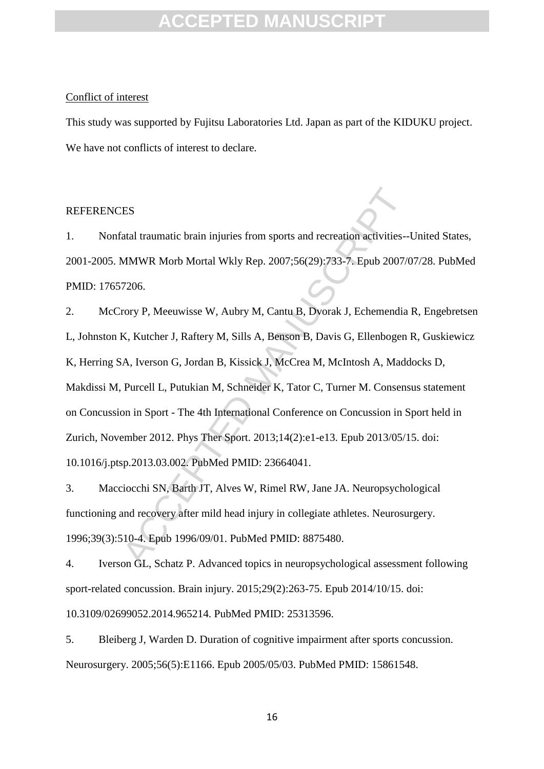#### Conflict of interest

This study was supported by Fujitsu Laboratories Ltd. Japan as part of the KIDUKU project. We have not conflicts of interest to declare.

#### **REFERENCES**

1. Nonfatal traumatic brain injuries from sports and recreation activities--United States, 2001-2005. MMWR Morb Mortal Wkly Rep. 2007;56(29):733-7. Epub 2007/07/28. PubMed PMID: 17657206.

ES<br>
Stal traumatic brain injuries from sports and recreation activities--<br>
MMWR Morb Mortal Wkly Rep. 2007;56(29):733-7. Epub 2007/<br>
7206.<br>
Frory P, Meeuwisse W, Aubry M, Cantu B, Dyorak J, Echemendia<br>
K, Kutcher J, Rafter 2. McCrory P, Meeuwisse W, Aubry M, Cantu B, Dvorak J, Echemendia R, Engebretsen L, Johnston K, Kutcher J, Raftery M, Sills A, Benson B, Davis G, Ellenbogen R, Guskiewicz K, Herring SA, Iverson G, Jordan B, Kissick J, McCrea M, McIntosh A, Maddocks D, Makdissi M, Purcell L, Putukian M, Schneider K, Tator C, Turner M. Consensus statement on Concussion in Sport - The 4th International Conference on Concussion in Sport held in Zurich, November 2012. Phys Ther Sport. 2013;14(2):e1-e13. Epub 2013/05/15. doi: 10.1016/j.ptsp.2013.03.002. PubMed PMID: 23664041.

3. Macciocchi SN, Barth JT, Alves W, Rimel RW, Jane JA. Neuropsychological functioning and recovery after mild head injury in collegiate athletes. Neurosurgery. 1996;39(3):510-4. Epub 1996/09/01. PubMed PMID: 8875480.

4. Iverson GL, Schatz P. Advanced topics in neuropsychological assessment following sport-related concussion. Brain injury. 2015;29(2):263-75. Epub 2014/10/15. doi: 10.3109/02699052.2014.965214. PubMed PMID: 25313596.

5. Bleiberg J, Warden D. Duration of cognitive impairment after sports concussion. Neurosurgery. 2005;56(5):E1166. Epub 2005/05/03. PubMed PMID: 15861548.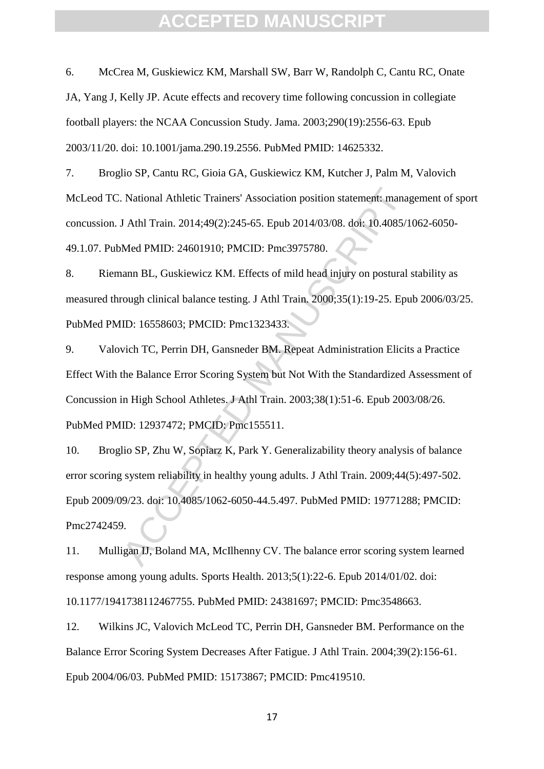6. McCrea M, Guskiewicz KM, Marshall SW, Barr W, Randolph C, Cantu RC, Onate JA, Yang J, Kelly JP. Acute effects and recovery time following concussion in collegiate football players: the NCAA Concussion Study. Jama. 2003;290(19):2556-63. Epub 2003/11/20. doi: 10.1001/jama.290.19.2556. PubMed PMID: 14625332.

7. Broglio SP, Cantu RC, Gioia GA, Guskiewicz KM, Kutcher J, Palm M, Valovich McLeod TC. National Athletic Trainers' Association position statement: management of sport concussion. J Athl Train. 2014;49(2):245-65. Epub 2014/03/08. doi: 10.4085/1062-6050- 49.1.07. PubMed PMID: 24601910; PMCID: Pmc3975780.

8. Riemann BL, Guskiewicz KM. Effects of mild head injury on postural stability as measured through clinical balance testing. J Athl Train. 2000;35(1):19-25. Epub 2006/03/25. PubMed PMID: 16558603; PMCID: Pmc1323433.

9. Valovich TC, Perrin DH, Gansneder BM. Repeat Administration Elicits a Practice Effect With the Balance Error Scoring System but Not With the Standardized Assessment of Concussion in High School Athletes. J Athl Train. 2003;38(1):51-6. Epub 2003/08/26. PubMed PMID: 12937472; PMCID: Pmc155511.

National Athletic Trainers' Association position statement: manager and Mahl Train. 2014;49(2):245-65. Epub 2014/03/08. doi: 10.4085/1<br>Med PMID: 24601910; PMCID: Pmc3975780.<br>Anan BL, Guskiewicz KM. Effects of mild head inj 10. Broglio SP, Zhu W, Sopiarz K, Park Y. Generalizability theory analysis of balance error scoring system reliability in healthy young adults. J Athl Train. 2009;44(5):497-502. Epub 2009/09/23. doi: 10.4085/1062-6050-44.5.497. PubMed PMID: 19771288; PMCID: Pmc2742459.

11. Mulligan IJ, Boland MA, McIlhenny CV. The balance error scoring system learned response among young adults. Sports Health. 2013;5(1):22-6. Epub 2014/01/02. doi: 10.1177/1941738112467755. PubMed PMID: 24381697; PMCID: Pmc3548663.

12. Wilkins JC, Valovich McLeod TC, Perrin DH, Gansneder BM. Performance on the Balance Error Scoring System Decreases After Fatigue. J Athl Train. 2004;39(2):156-61. Epub 2004/06/03. PubMed PMID: 15173867; PMCID: Pmc419510.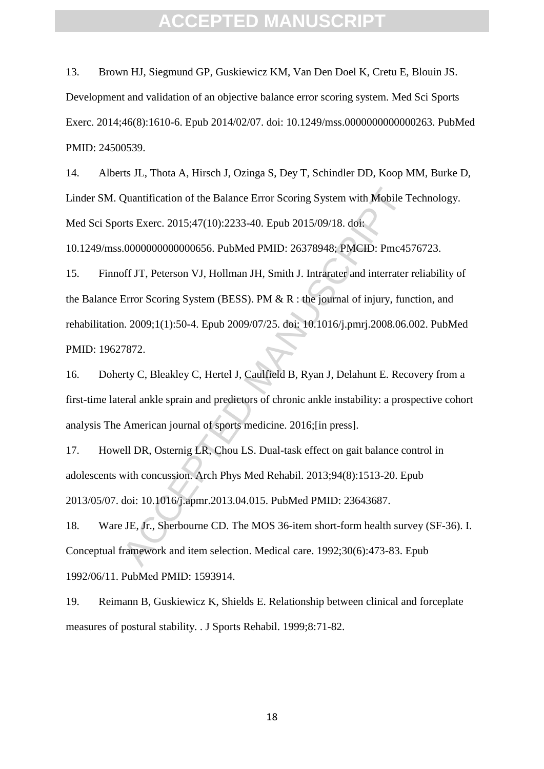13. Brown HJ, Siegmund GP, Guskiewicz KM, Van Den Doel K, Cretu E, Blouin JS. Development and validation of an objective balance error scoring system. Med Sci Sports Exerc. 2014;46(8):1610-6. Epub 2014/02/07. doi: 10.1249/mss.0000000000000263. PubMed PMID: 24500539.

14. Alberts JL, Thota A, Hirsch J, Ozinga S, Dey T, Schindler DD, Koop MM, Burke D, Linder SM. Quantification of the Balance Error Scoring System with Mobile Technology. Med Sci Sports Exerc. 2015;47(10):2233-40. Epub 2015/09/18. doi:

10.1249/mss.0000000000000656. PubMed PMID: 26378948; PMCID: Pmc4576723.

Quantification of the Balance Error Scoring System with Mobile T<br>orts Exerc. 2015;47(10):2233-40. Epub 2015/09/18. doi:<br>.00000000000000656. PubMed PMID: 26378948; PMCID: Pmc45<br>off JT, Peterson VJ, Hollman JH, Smith J. Intr 15. Finnoff JT, Peterson VJ, Hollman JH, Smith J. Intrarater and interrater reliability of the Balance Error Scoring System (BESS). PM & R : the journal of injury, function, and rehabilitation. 2009;1(1):50-4. Epub 2009/07/25. doi: 10.1016/j.pmrj.2008.06.002. PubMed PMID: 19627872.

16. Doherty C, Bleakley C, Hertel J, Caulfield B, Ryan J, Delahunt E. Recovery from a first-time lateral ankle sprain and predictors of chronic ankle instability: a prospective cohort analysis The American journal of sports medicine. 2016;[in press].

17. Howell DR, Osternig LR, Chou LS. Dual-task effect on gait balance control in adolescents with concussion. Arch Phys Med Rehabil. 2013;94(8):1513-20. Epub 2013/05/07. doi: 10.1016/j.apmr.2013.04.015. PubMed PMID: 23643687.

18. Ware JE, Jr., Sherbourne CD. The MOS 36-item short-form health survey (SF-36). I. Conceptual framework and item selection. Medical care. 1992;30(6):473-83. Epub 1992/06/11. PubMed PMID: 1593914.

19. Reimann B, Guskiewicz K, Shields E. Relationship between clinical and forceplate measures of postural stability. . J Sports Rehabil. 1999;8:71-82.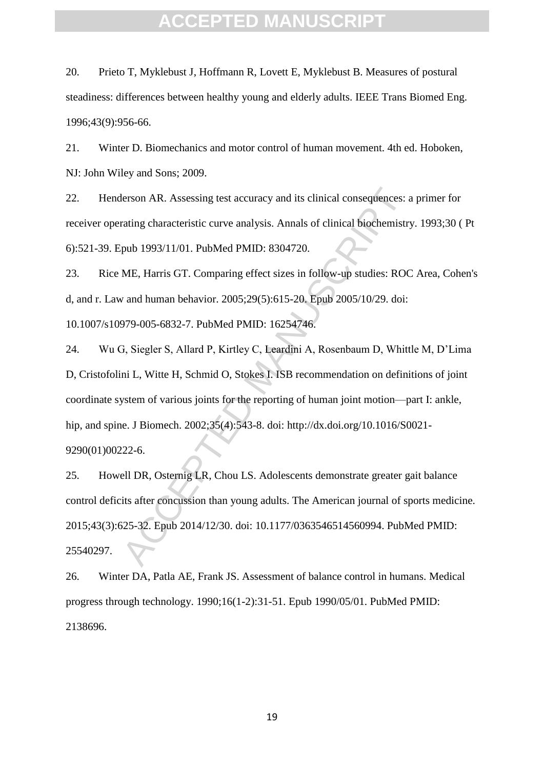20. Prieto T, Myklebust J, Hoffmann R, Lovett E, Myklebust B. Measures of postural steadiness: differences between healthy young and elderly adults. IEEE Trans Biomed Eng. 1996;43(9):956-66.

21. Winter D. Biomechanics and motor control of human movement. 4th ed. Hoboken, NJ: John Wiley and Sons; 2009.

22. Henderson AR. Assessing test accuracy and its clinical consequences: a primer for receiver operating characteristic curve analysis. Annals of clinical biochemistry. 1993;30 ( Pt 6):521-39. Epub 1993/11/01. PubMed PMID: 8304720.

23. Rice ME, Harris GT. Comparing effect sizes in follow-up studies: ROC Area, Cohen's d, and r. Law and human behavior. 2005;29(5):615-20. Epub 2005/10/29. doi: 10.1007/s10979-005-6832-7. PubMed PMID: 16254746.

lerson AR. Assessing test accuracy and its clinical consequences: a<br>trating characteristic curve analysis. Annals of clinical biochemistry<br>pub 1993/11/01. PubMed PMID: 8304720.<br>ME, Harris GT. Comparing effect sizes in foll 24. Wu G, Siegler S, Allard P, Kirtley C, Leardini A, Rosenbaum D, Whittle M, D'Lima D, Cristofolini L, Witte H, Schmid O, Stokes I. ISB recommendation on definitions of joint coordinate system of various joints for the reporting of human joint motion—part I: ankle, hip, and spine. J Biomech. 2002;35(4):543-8. doi: http://dx.doi.org/10.1016/S0021- 9290(01)00222-6.

25. Howell DR, Osternig LR, Chou LS. Adolescents demonstrate greater gait balance control deficits after concussion than young adults. The American journal of sports medicine. 2015;43(3):625-32. Epub 2014/12/30. doi: 10.1177/0363546514560994. PubMed PMID: 25540297.

26. Winter DA, Patla AE, Frank JS. Assessment of balance control in humans. Medical progress through technology. 1990;16(1-2):31-51. Epub 1990/05/01. PubMed PMID: 2138696.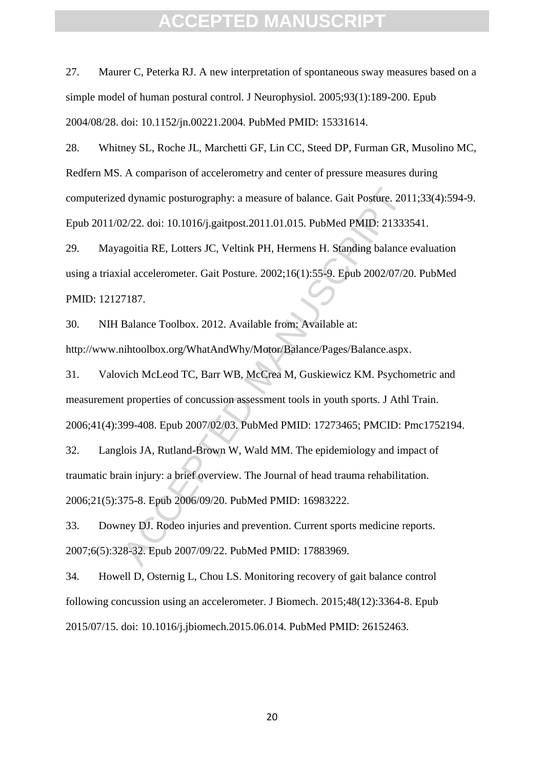27. Maurer C, Peterka RJ. A new interpretation of spontaneous sway measures based on a simple model of human postural control. J Neurophysiol. 2005;93(1):189-200. Epub 2004/08/28. doi: 10.1152/jn.00221.2004. PubMed PMID: 15331614.

28. Whitney SL, Roche JL, Marchetti GF, Lin CC, Steed DP, Furman GR, Musolino MC, Redfern MS. A comparison of accelerometry and center of pressure measures during computerized dynamic posturography: a measure of balance. Gait Posture. 2011;33(4):594-9. Epub 2011/02/22. doi: 10.1016/j.gaitpost.2011.01.015. PubMed PMID: 21333541.

29. Mayagoitia RE, Lotters JC, Veltink PH, Hermens H. Standing balance evaluation using a triaxial accelerometer. Gait Posture. 2002;16(1):55-9. Epub 2002/07/20. PubMed PMID: 12127187.

30. NIH Balance Toolbox. 2012. Available from: Available at: http://www.nihtoolbox.org/WhatAndWhy/Motor/Balance/Pages/Balance.aspx.

d dynamic posturography: a measure of balance. Gait Posture. 201<br>22/22. doi: 10.1016/j.gaitpost.2011.01.015. PubMed PMID: 21333:<br>agoitia RE, Lotters JC, Veltink PH, Hermens H. Standing balance<br>ial accelerometer. Gait Postu 31. Valovich McLeod TC, Barr WB, McCrea M, Guskiewicz KM. Psychometric and measurement properties of concussion assessment tools in youth sports. J Athl Train. 2006;41(4):399-408. Epub 2007/02/03. PubMed PMID: 17273465; PMCID: Pmc1752194.

32. Langlois JA, Rutland-Brown W, Wald MM. The epidemiology and impact of traumatic brain injury: a brief overview. The Journal of head trauma rehabilitation. 2006;21(5):375-8. Epub 2006/09/20. PubMed PMID: 16983222.

33. Downey DJ. Rodeo injuries and prevention. Current sports medicine reports. 2007;6(5):328-32. Epub 2007/09/22. PubMed PMID: 17883969.

34. Howell D, Osternig L, Chou LS. Monitoring recovery of gait balance control following concussion using an accelerometer. J Biomech. 2015;48(12):3364-8. Epub 2015/07/15. doi: 10.1016/j.jbiomech.2015.06.014. PubMed PMID: 26152463.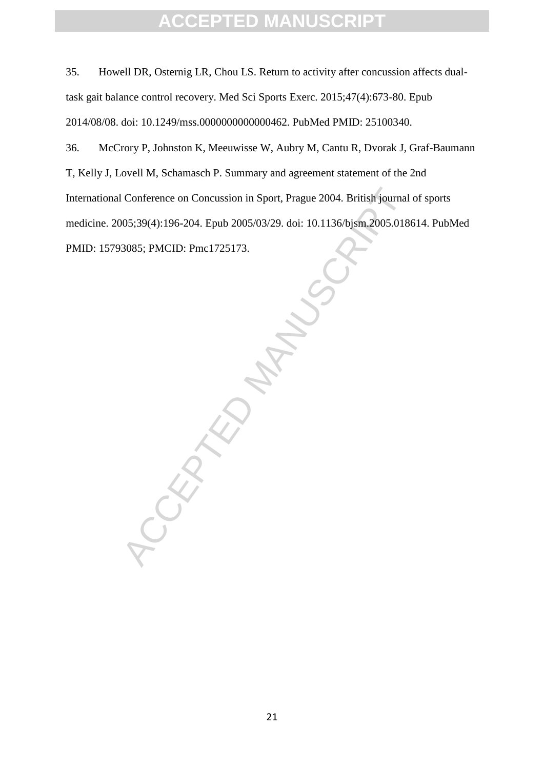35. Howell DR, Osternig LR, Chou LS. Return to activity after concussion affects dualtask gait balance control recovery. Med Sci Sports Exerc. 2015;47(4):673-80. Epub 2014/08/08. doi: 10.1249/mss.0000000000000462. PubMed PMID: 25100340.

36. McCrory P, Johnston K, Meeuwisse W, Aubry M, Cantu R, Dvorak J, Graf-Baumann T, Kelly J, Lovell M, Schamasch P. Summary and agreement statement of the 2nd International Conference on Concussion in Sport, Prague 2004. British journal of sports medicine. 2005;39(4):196-204. Epub 2005/03/29. doi: 10.1136/bjsm.2005.018614. PubMed PMID: 15793085; PMCID: Pmc1725173.

CCEPTED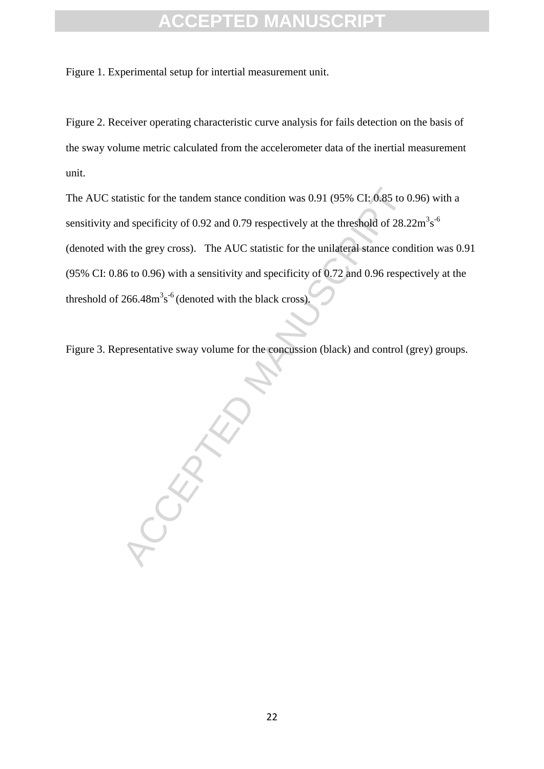Figure 1. Experimental setup for intertial measurement unit.

Figure 2. Receiver operating characteristic curve analysis for fails detection on the basis of the sway volume metric calculated from the accelerometer data of the inertial measurement unit.

atistic for the tandem stance condition was 0.91 (95% CI; 0.85 to 0.<br>
and specificity of 0.92 and 0.79 respectively at the threshold of 28.2<br>
h the grey cross). The AUC statistic for the unilateral stance condition<br>
16 to The AUC statistic for the tandem stance condition was 0.91 (95% CI: 0.85 to 0.96) with a sensitivity and specificity of 0.92 and 0.79 respectively at the threshold of  $28.22 \text{m}^3 \text{s}^{-6}$ (denoted with the grey cross). The AUC statistic for the unilateral stance condition was 0.91 (95% CI: 0.86 to 0.96) with a sensitivity and specificity of 0.72 and 0.96 respectively at the threshold of  $266.48 \text{m}^3\text{s}^{-6}$  (denoted with the black cross).

Figure 3. Representative sway volume for the concussion (black) and control (grey) groups.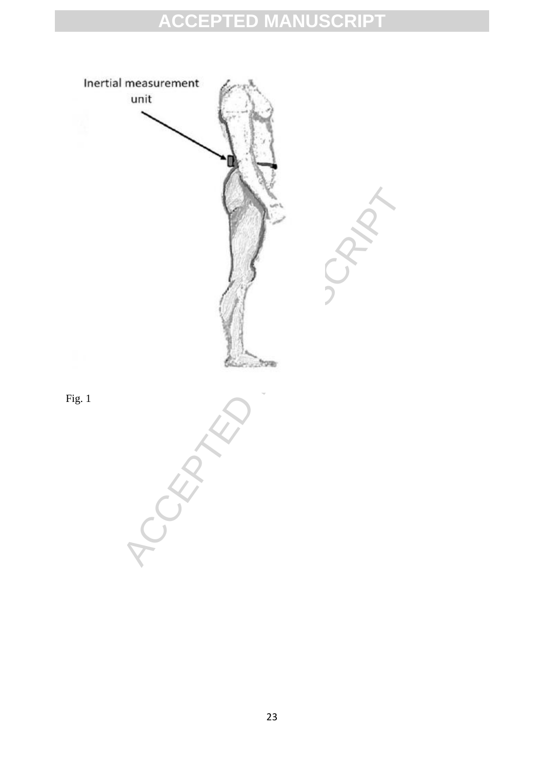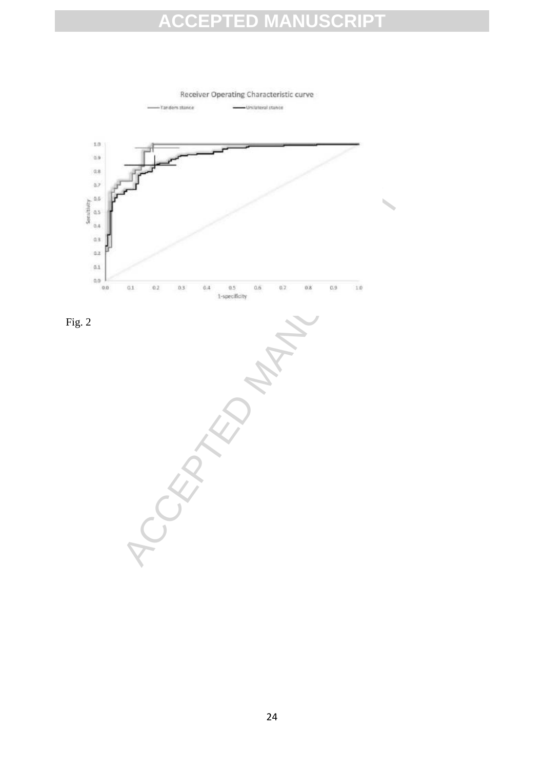Tandem stance Unilateral stance  $1.0$  $0.9\,$  $0.8$  $_{0.7}$ Sensitivity  $0,\!5$  $0.5\,$  $0,4$  $0.3$  $0.2$  $0.1$  $0,0$ ACCEPTED MANUSCRIPT  $0.0$ 

Receiver Operating Characteristic curve

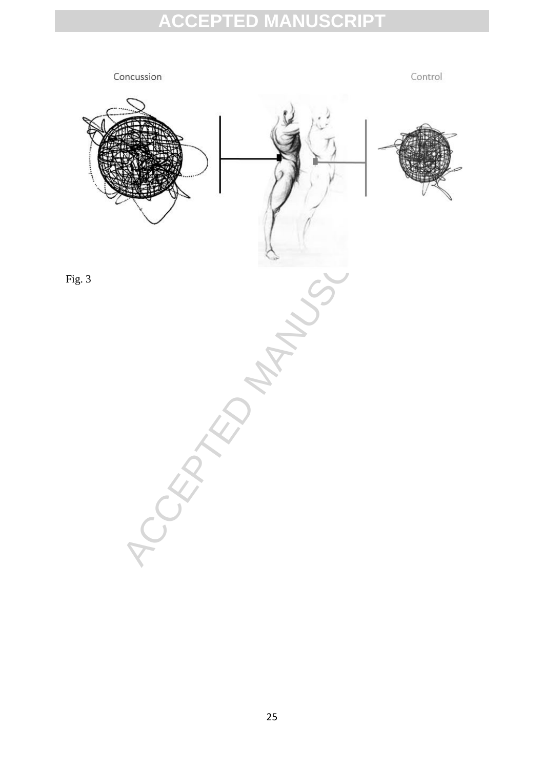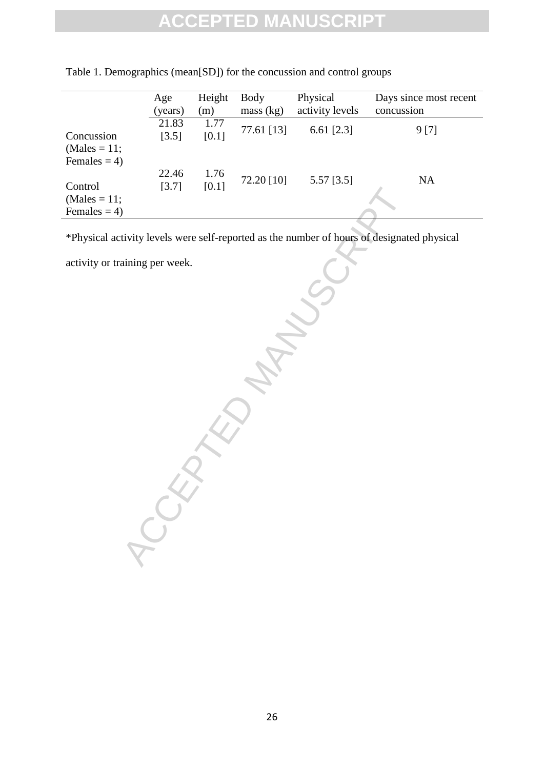|                 | Age<br>(years) | Height<br>(m) | Body<br>mass (kg) | Physical<br>activity levels | Days since most recent<br>concussion |
|-----------------|----------------|---------------|-------------------|-----------------------------|--------------------------------------|
|                 |                |               |                   |                             |                                      |
|                 | 21.83          | 1.77          | 77.61 [13]        | 6.61 $[2.3]$                | 9 [7]                                |
| Concussion      | [3.5]          | [0.1]         |                   |                             |                                      |
| $(Males = 11;$  |                |               |                   |                             |                                      |
| Females $= 4$ ) |                |               |                   |                             |                                      |
|                 | 22.46          | 1.76          |                   |                             |                                      |
| Control         | [3.7]          | [0.1]         | 72.20 [10]        | $5.57$ [3.5]                | <b>NA</b>                            |
| $(Males = 11;$  |                |               |                   |                             |                                      |
| Females $= 4$ ) |                |               |                   |                             |                                      |
|                 |                |               |                   |                             |                                      |

| Table 1. Demographics (mean[SD]) for the concussion and control groups |  |  |
|------------------------------------------------------------------------|--|--|
|                                                                        |  |  |

CCEPTED MANUSCRIPT \*Physical activity levels were self-reported as the number of hours of designated physical

activity or training per week.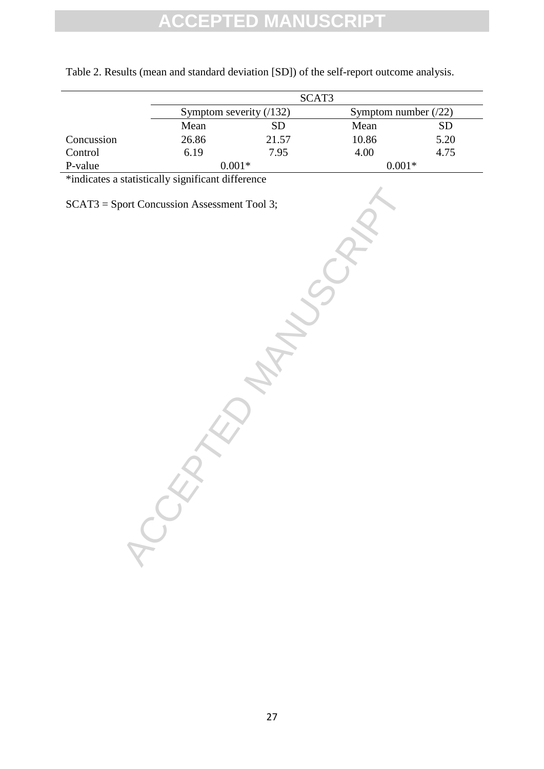|            |                          | SCAT <sub>3</sub> |                       |           |
|------------|--------------------------|-------------------|-----------------------|-----------|
|            | Symptom severity $(132)$ |                   | Symptom number $(22)$ |           |
|            | Mean                     | SD                | Mean                  | <b>SD</b> |
| Concussion | 26.86                    | 21.57             | 10.86                 | 5.20      |
| Control    | 6.19                     | 7.95              | 4.00                  | 4.75      |
| P-value    |                          | $0.001*$          | $0.001*$              |           |

Table 2. Results (mean and standard deviation [SD]) of the self-report outcome analysis.

ACCEPTED MANUSCRY

\*indicates a statistically significant difference

SCAT3 = Sport Concussion Assessment Tool 3;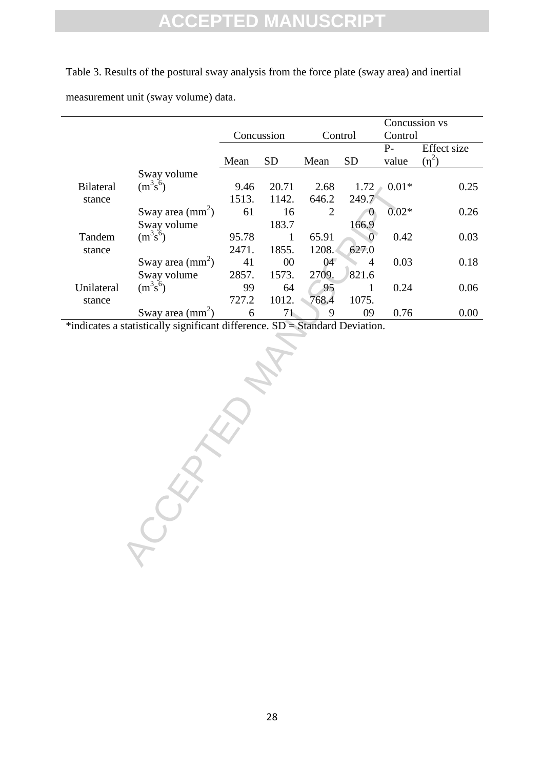Table 3. Results of the postural sway analysis from the force plate (sway area) and inertial measurement unit (sway volume) data.

|                  |                                                                             |            |              |                | Concussion vs  |         |             |
|------------------|-----------------------------------------------------------------------------|------------|--------------|----------------|----------------|---------|-------------|
|                  |                                                                             | Concussion |              | Control        |                | Control |             |
|                  |                                                                             |            |              |                |                | $P-$    | Effect size |
|                  |                                                                             | Mean       | SD           | Mean           | <b>SD</b>      | value   | $(\eta^2)$  |
|                  | Sway volume                                                                 |            |              |                |                |         |             |
| <b>Bilateral</b> | $(m^3s^6)$                                                                  | 9.46       | 20.71        | 2.68           | 1.72           | $0.01*$ | 0.25        |
| stance           |                                                                             | 1513.      | 1142.        | 646.2          | 249.7          |         |             |
|                  | Sway area $\text{(mm}^2)$                                                   | 61         | 16           | $\overline{2}$ | $\theta$       | $0.02*$ | 0.26        |
|                  | Sway volume                                                                 |            | 183.7        |                | 166.9          |         |             |
| Tandem           | $(m^3s^6)$                                                                  | 95.78      | $\mathbf{1}$ | 65.91          | $\overline{0}$ | 0.42    | 0.03        |
| stance           |                                                                             | 2471.      | 1855.        | 1208.          | 627.0          |         |             |
|                  | Sway area $\text{(mm}^2)$                                                   | 41         | $00\,$       | 04             | 4              | 0.03    | 0.18        |
|                  | Sway volume                                                                 | 2857.      | 1573.        | 2709.          | 821.6          |         |             |
| Unilateral       | $(m^3s^6)$                                                                  | 99         | 64           | 95             | $\mathbf 1$    | 0.24    | 0.06        |
| stance           |                                                                             | 727.2      | 1012.        | 768.4          | 1075.          |         |             |
|                  | Sway area $\text{(mm}^2)$                                                   | 6          | 71           | 9              | 09             | 0.76    | $0.00\,$    |
|                  | *indicates a statistically significant difference. SD = Standard Deviation. |            |              |                |                |         |             |
|                  |                                                                             |            |              |                |                |         |             |
|                  |                                                                             |            |              |                |                |         |             |
|                  |                                                                             |            |              |                |                |         |             |
|                  |                                                                             |            |              |                |                |         |             |
|                  |                                                                             |            |              |                |                |         |             |
|                  |                                                                             |            |              |                |                |         |             |
|                  |                                                                             |            |              |                |                |         |             |
|                  |                                                                             |            |              |                |                |         |             |
|                  |                                                                             |            |              |                |                |         |             |
|                  |                                                                             |            |              |                |                |         |             |
|                  |                                                                             |            |              |                |                |         |             |
|                  |                                                                             |            |              |                |                |         |             |
|                  |                                                                             |            |              |                |                |         |             |
|                  |                                                                             |            |              |                |                |         |             |
|                  |                                                                             |            |              |                |                |         |             |
|                  |                                                                             |            |              |                |                |         |             |
|                  |                                                                             |            |              |                |                |         |             |
|                  |                                                                             |            |              |                |                |         |             |
|                  |                                                                             |            |              |                |                |         |             |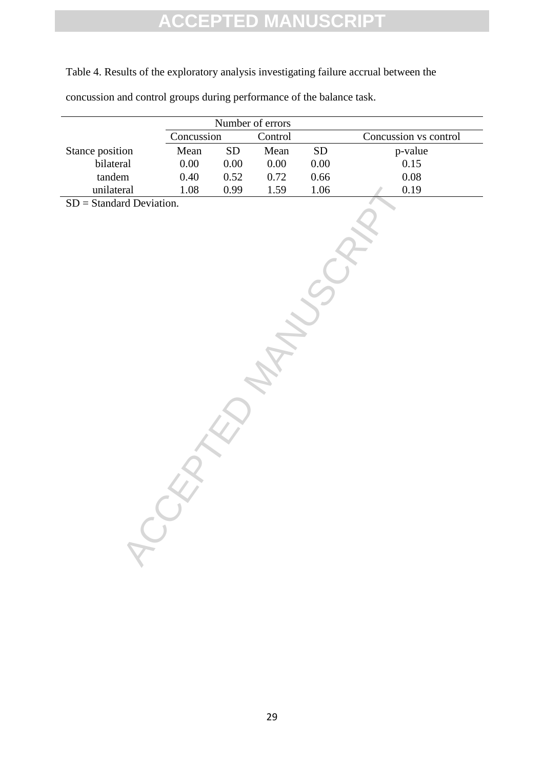Table 4. Results of the exploratory analysis investigating failure accrual between the

|  |  |  | concussion and control groups during performance of the balance task. |
|--|--|--|-----------------------------------------------------------------------|
|  |  |  |                                                                       |
|  |  |  |                                                                       |

|                                         | Concussion |            | Number of errors<br>Control |            | Concussion vs control |
|-----------------------------------------|------------|------------|-----------------------------|------------|-----------------------|
| Stance position                         | Mean       | ${\rm SD}$ | Mean                        | ${\rm SD}$ | p-value               |
| bilateral                               | $0.00\,$   | $0.00\,$   | $0.00\,$                    | $0.00\,$   | 0.15                  |
| tandem                                  | $0.40\,$   | $0.52\,$   | $0.72\,$                    | $0.66\,$   | $0.08\,$              |
| unilateral                              | 1.08       | 0.99       | 1.59                        | $1.06\,$   | $0.19\,$              |
| $SD = Standard Deviation.$<br>$\lambda$ |            |            |                             |            |                       |